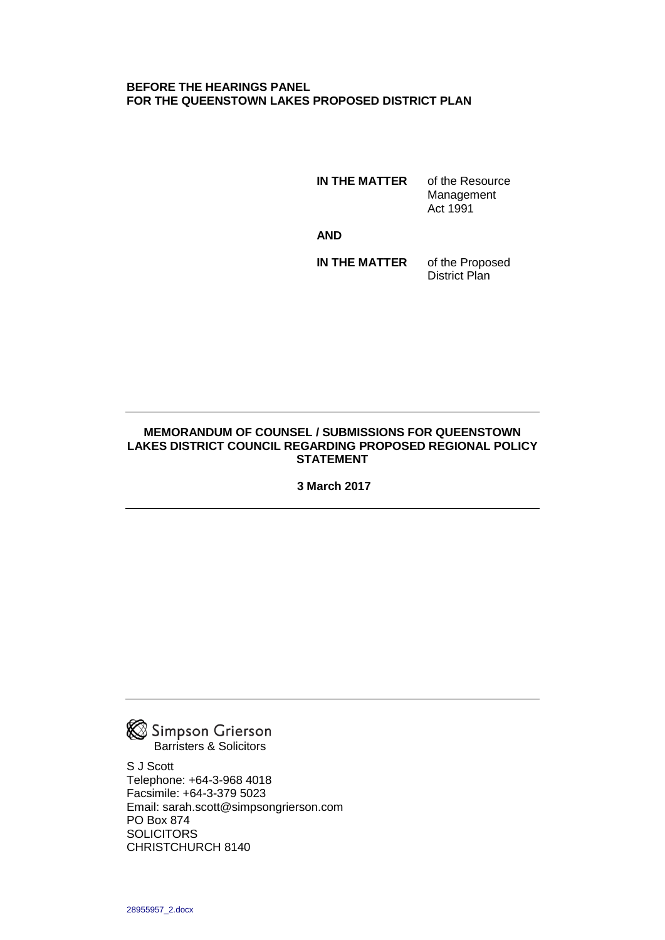#### **BEFORE THE HEARINGS PANEL FOR THE QUEENSTOWN LAKES PROPOSED DISTRICT PLAN**

**IN THE MATTER** of the Resource Management Act 1991

**AND**

**IN THE MATTER** of the Proposed District Plan

#### **MEMORANDUM OF COUNSEL / SUBMISSIONS FOR QUEENSTOWN LAKES DISTRICT COUNCIL REGARDING PROPOSED REGIONAL POLICY STATEMENT**

**3 March 2017**



S J Scott Telephone: +64-3-968 4018 Facsimile: +64-3-379 5023 Email: sarah.scott@simpsongrierson.com PO Box 874 **SOLICITORS** CHRISTCHURCH 8140

28955957\_2.docx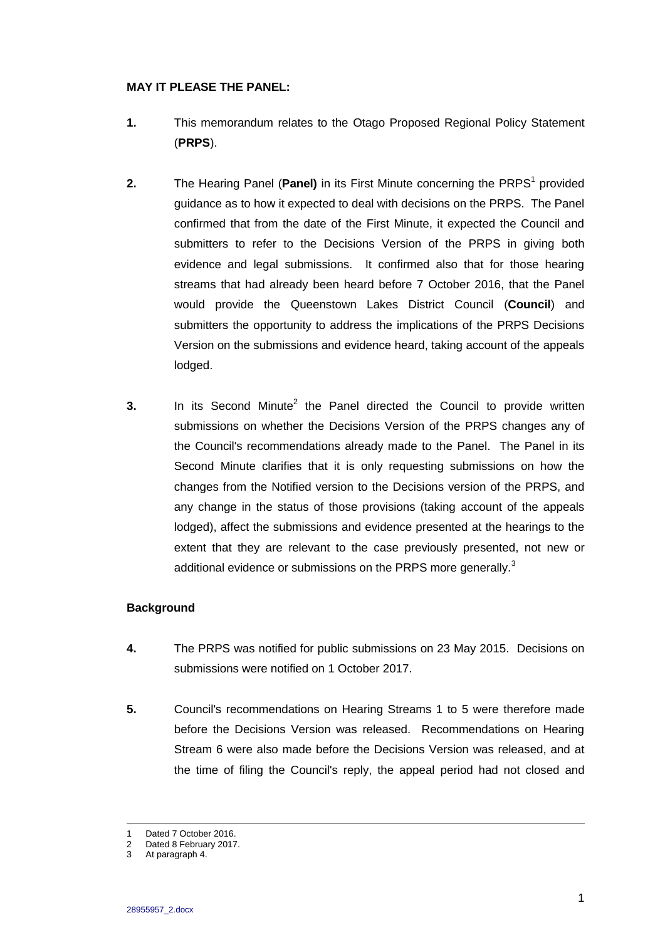# **MAY IT PLEASE THE PANEL:**

- **1.** This memorandum relates to the Otago Proposed Regional Policy Statement (**PRPS**).
- **2.** The Hearing Panel (Panel) in its First Minute concerning the PRPS<sup>1</sup> provided guidance as to how it expected to deal with decisions on the PRPS. The Panel confirmed that from the date of the First Minute, it expected the Council and submitters to refer to the Decisions Version of the PRPS in giving both evidence and legal submissions. It confirmed also that for those hearing streams that had already been heard before 7 October 2016, that the Panel would provide the Queenstown Lakes District Council (**Council**) and submitters the opportunity to address the implications of the PRPS Decisions Version on the submissions and evidence heard, taking account of the appeals lodged.
- **3.** In its Second Minute<sup>2</sup> the Panel directed the Council to provide written submissions on whether the Decisions Version of the PRPS changes any of the Council's recommendations already made to the Panel. The Panel in its Second Minute clarifies that it is only requesting submissions on how the changes from the Notified version to the Decisions version of the PRPS, and any change in the status of those provisions (taking account of the appeals lodged), affect the submissions and evidence presented at the hearings to the extent that they are relevant to the case previously presented, not new or additional evidence or submissions on the PRPS more generally. $3$

# **Background**

- **4.** The PRPS was notified for public submissions on 23 May 2015. Decisions on submissions were notified on 1 October 2017.
- **5.** Council's recommendations on Hearing Streams 1 to 5 were therefore made before the Decisions Version was released. Recommendations on Hearing Stream 6 were also made before the Decisions Version was released, and at the time of filing the Council's reply, the appeal period had not closed and

 $\overline{a}$ 

<sup>1</sup> Dated 7 October 2016.<br>2 Dated 8 February 2017

Dated 8 February 2017.

<sup>3</sup> At paragraph 4.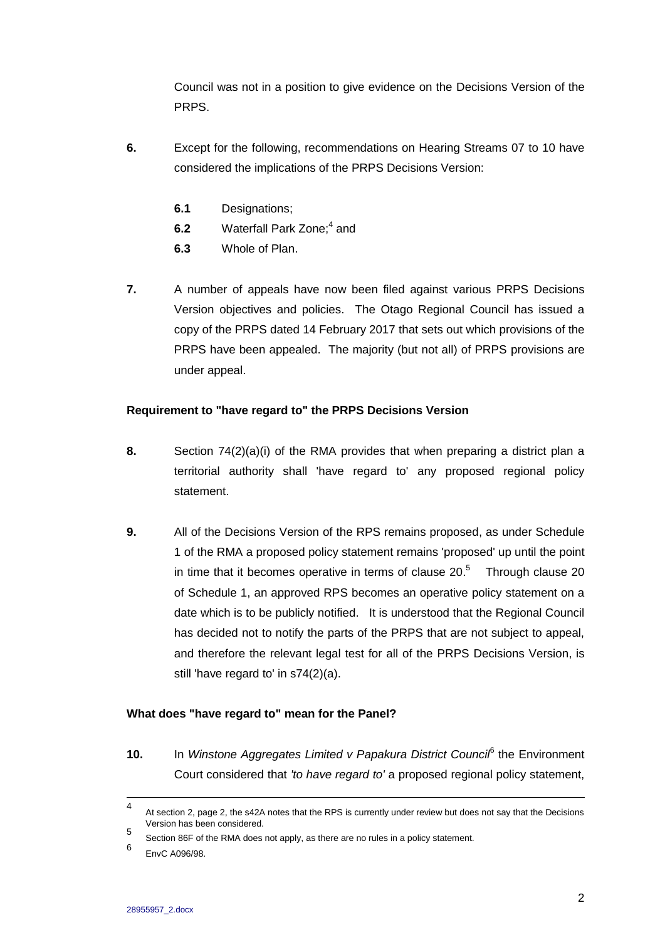Council was not in a position to give evidence on the Decisions Version of the PRPS.

- **6.** Except for the following, recommendations on Hearing Streams 07 to 10 have considered the implications of the PRPS Decisions Version:
	- **6.1** Designations;
	- **6.2** Waterfall Park Zone;<sup>4</sup> and
	- **6.3** Whole of Plan.
- **7.** A number of appeals have now been filed against various PRPS Decisions Version objectives and policies. The Otago Regional Council has issued a copy of the PRPS dated 14 February 2017 that sets out which provisions of the PRPS have been appealed. The majority (but not all) of PRPS provisions are under appeal.

# **Requirement to "have regard to" the PRPS Decisions Version**

- **8.** Section 74(2)(a)(i) of the RMA provides that when preparing a district plan a territorial authority shall 'have regard to' any proposed regional policy statement.
- **9.** All of the Decisions Version of the RPS remains proposed, as under Schedule 1 of the RMA a proposed policy statement remains 'proposed' up until the point in time that it becomes operative in terms of clause  $20<sup>5</sup>$  Through clause 20 of Schedule 1, an approved RPS becomes an operative policy statement on a date which is to be publicly notified. It is understood that the Regional Council has decided not to notify the parts of the PRPS that are not subject to appeal, and therefore the relevant legal test for all of the PRPS Decisions Version, is still 'have regard to' in s74(2)(a).

#### **What does "have regard to" mean for the Panel?**

10. In Winstone Aggregates Limited v Papakura District Counci<sup>f</sup> the Environment Court considered that *'to have regard to'* a proposed regional policy statement,

 $\frac{1}{4}$ At section 2, page 2, the s42A notes that the RPS is currently under review but does not say that the Decisions Version has been considered.

<sup>5</sup> Section 86F of the RMA does not apply, as there are no rules in a policy statement.

<sup>6</sup> EnvC A096/98.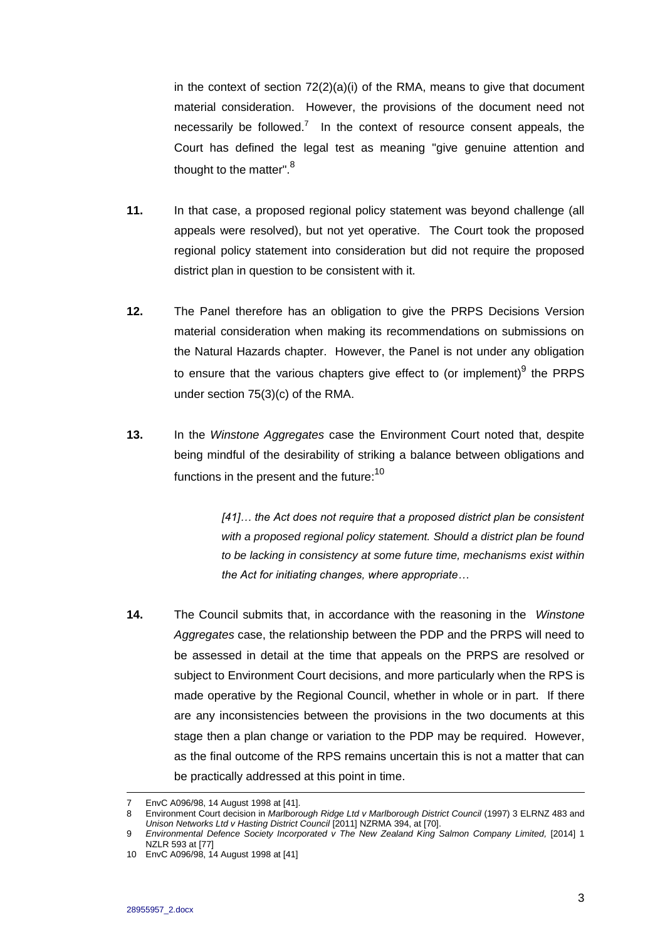in the context of section  $72(2)(a)(i)$  of the RMA, means to give that document material consideration. However, the provisions of the document need not necessarily be followed.<sup>7</sup> In the context of resource consent appeals, the Court has defined the legal test as meaning "give genuine attention and thought to the matter".<sup>8</sup>

- **11.** In that case, a proposed regional policy statement was beyond challenge (all appeals were resolved), but not yet operative. The Court took the proposed regional policy statement into consideration but did not require the proposed district plan in question to be consistent with it.
- **12.** The Panel therefore has an obligation to give the PRPS Decisions Version material consideration when making its recommendations on submissions on the Natural Hazards chapter. However, the Panel is not under any obligation to ensure that the various chapters give effect to (or implement)<sup>9</sup> the PRPS under section 75(3)(c) of the RMA.
- **13.** In the *Winstone Aggregates* case the Environment Court noted that, despite being mindful of the desirability of striking a balance between obligations and functions in the present and the future: $^{10}$

*[41]… the Act does not require that a proposed district plan be consistent with a proposed regional policy statement. Should a district plan be found to be lacking in consistency at some future time, mechanisms exist within the Act for initiating changes, where appropriate…*

**14.** The Council submits that, in accordance with the reasoning in the *Winstone Aggregates* case, the relationship between the PDP and the PRPS will need to be assessed in detail at the time that appeals on the PRPS are resolved or subject to Environment Court decisions, and more particularly when the RPS is made operative by the Regional Council, whether in whole or in part. If there are any inconsistencies between the provisions in the two documents at this stage then a plan change or variation to the PDP may be required. However, as the final outcome of the RPS remains uncertain this is not a matter that can be practically addressed at this point in time.

 $\overline{a}$ 

<sup>7</sup> EnvC A096/98, 14 August 1998 at [41].

<sup>8</sup> Environment Court decision in *Marlborough Ridge Ltd v Marlborough District Council* (1997) 3 ELRNZ 483 and *Unison Networks Ltd v Hasting District Council* [2011] NZRMA 394, at [70].

<sup>9</sup> *Environmental Defence Society Incorporated v The New Zealand King Salmon Company Limited,* [2014] 1 NZLR 593 at [77]

<sup>10</sup> EnvC A096/98, 14 August 1998 at [41]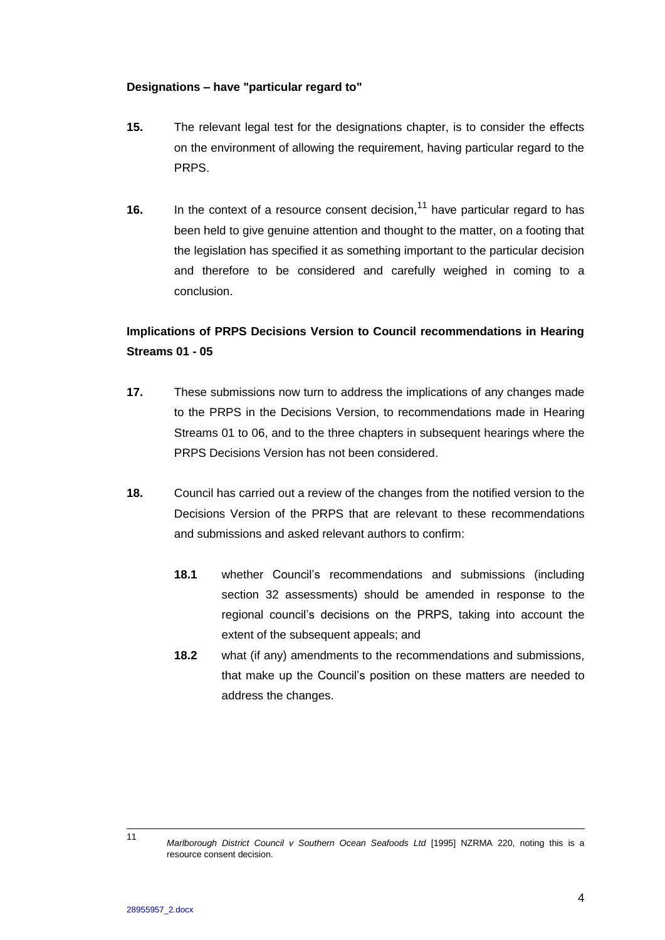### **Designations – have "particular regard to"**

- **15.** The relevant legal test for the designations chapter, is to consider the effects on the environment of allowing the requirement, having particular regard to the PRPS.
- **16.** In the context of a resource consent decision,<sup>11</sup> have particular regard to has been held to give genuine attention and thought to the matter, on a footing that the legislation has specified it as something important to the particular decision and therefore to be considered and carefully weighed in coming to a conclusion.

# **Implications of PRPS Decisions Version to Council recommendations in Hearing Streams 01 - 05**

- **17.** These submissions now turn to address the implications of any changes made to the PRPS in the Decisions Version, to recommendations made in Hearing Streams 01 to 06, and to the three chapters in subsequent hearings where the PRPS Decisions Version has not been considered.
- **18.** Council has carried out a review of the changes from the notified version to the Decisions Version of the PRPS that are relevant to these recommendations and submissions and asked relevant authors to confirm:
	- **18.1** whether Council's recommendations and submissions (including section 32 assessments) should be amended in response to the regional council's decisions on the PRPS, taking into account the extent of the subsequent appeals; and
	- **18.2** what (if any) amendments to the recommendations and submissions, that make up the Council's position on these matters are needed to address the changes.

 $11$ 

Marlborough District Council v Southern Ocean Seafoods Ltd [1995] NZRMA 220, noting this is a resource consent decision.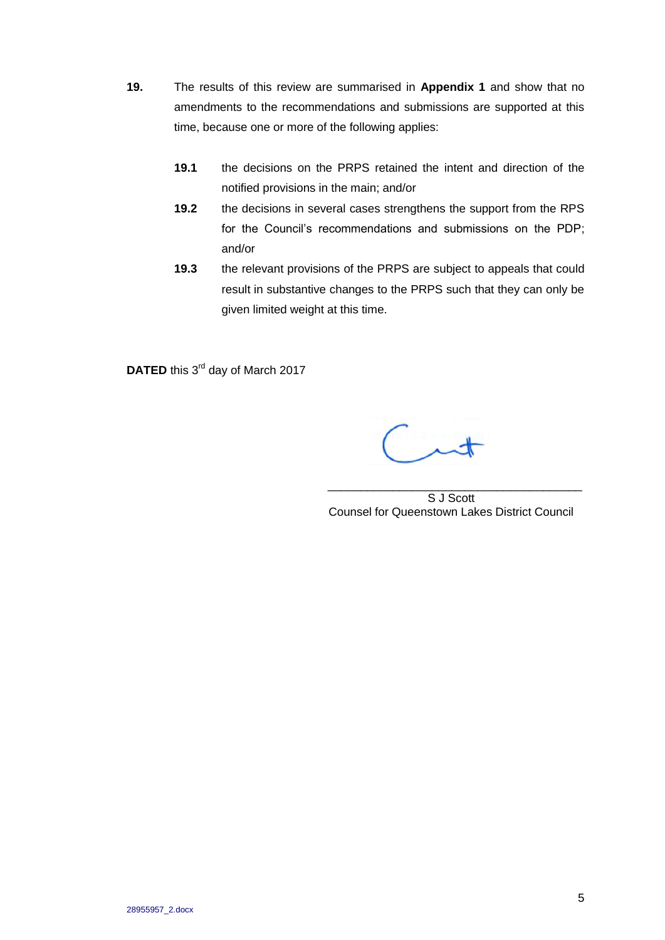- **19.** The results of this review are summarised in **Appendix 1** and show that no amendments to the recommendations and submissions are supported at this time, because one or more of the following applies:
	- **19.1** the decisions on the PRPS retained the intent and direction of the notified provisions in the main; and/or
	- **19.2** the decisions in several cases strengthens the support from the RPS for the Council's recommendations and submissions on the PDP; and/or
	- **19.3** the relevant provisions of the PRPS are subject to appeals that could result in substantive changes to the PRPS such that they can only be given limited weight at this time.

DATED this 3<sup>rd</sup> day of March 2017

\_\_\_\_\_\_\_\_\_\_\_\_\_\_\_\_\_\_\_\_\_\_\_\_\_\_\_\_\_\_\_\_\_\_\_\_\_\_\_ S J Scott Counsel for Queenstown Lakes District Council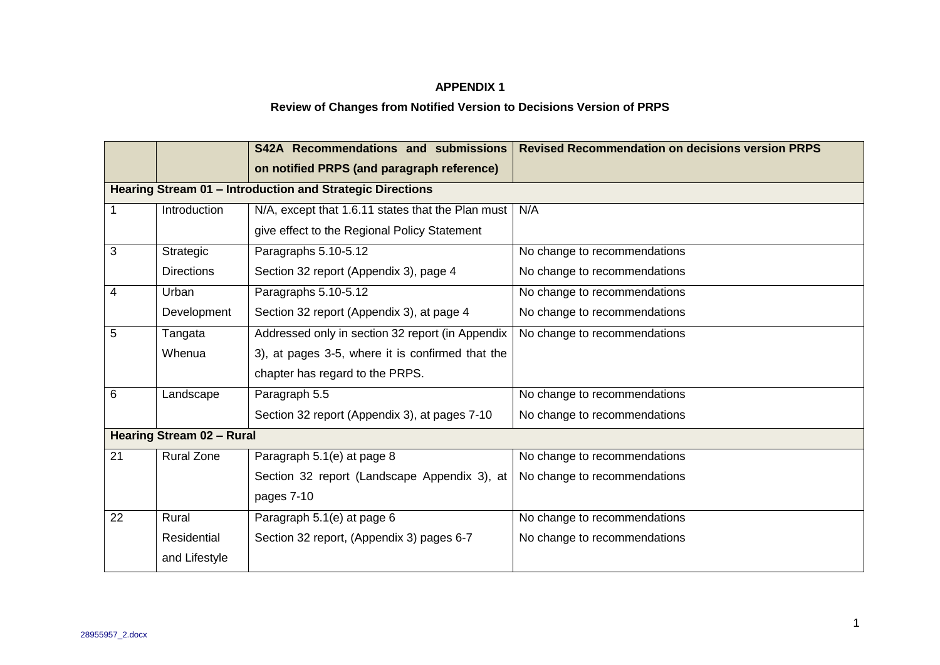# **APPENDIX 1**

# **Review of Changes from Notified Version to Decisions Version of PRPS**

|                                                           |                   | S42A Recommendations and submissions              | <b>Revised Recommendation on decisions version PRPS</b> |  |  |  |
|-----------------------------------------------------------|-------------------|---------------------------------------------------|---------------------------------------------------------|--|--|--|
|                                                           |                   | on notified PRPS (and paragraph reference)        |                                                         |  |  |  |
| Hearing Stream 01 - Introduction and Strategic Directions |                   |                                                   |                                                         |  |  |  |
| 1                                                         | Introduction      | N/A, except that 1.6.11 states that the Plan must | N/A                                                     |  |  |  |
|                                                           |                   | give effect to the Regional Policy Statement      |                                                         |  |  |  |
| 3                                                         | Strategic         | Paragraphs 5.10-5.12                              | No change to recommendations                            |  |  |  |
|                                                           | <b>Directions</b> | Section 32 report (Appendix 3), page 4            | No change to recommendations                            |  |  |  |
| 4                                                         | Urban             | Paragraphs 5.10-5.12                              | No change to recommendations                            |  |  |  |
|                                                           | Development       | Section 32 report (Appendix 3), at page 4         | No change to recommendations                            |  |  |  |
| 5                                                         | Tangata           | Addressed only in section 32 report (in Appendix  | No change to recommendations                            |  |  |  |
|                                                           | Whenua            | 3), at pages 3-5, where it is confirmed that the  |                                                         |  |  |  |
|                                                           |                   | chapter has regard to the PRPS.                   |                                                         |  |  |  |
| 6                                                         | Landscape         | Paragraph 5.5                                     | No change to recommendations                            |  |  |  |
|                                                           |                   | Section 32 report (Appendix 3), at pages 7-10     | No change to recommendations                            |  |  |  |
| <b>Hearing Stream 02 - Rural</b>                          |                   |                                                   |                                                         |  |  |  |
| 21                                                        | <b>Rural Zone</b> | Paragraph 5.1(e) at page 8                        | No change to recommendations                            |  |  |  |
|                                                           |                   | Section 32 report (Landscape Appendix 3), at      | No change to recommendations                            |  |  |  |
|                                                           |                   | pages 7-10                                        |                                                         |  |  |  |
| 22                                                        | Rural             | Paragraph 5.1(e) at page 6                        | No change to recommendations                            |  |  |  |
|                                                           | Residential       | Section 32 report, (Appendix 3) pages 6-7         | No change to recommendations                            |  |  |  |
|                                                           | and Lifestyle     |                                                   |                                                         |  |  |  |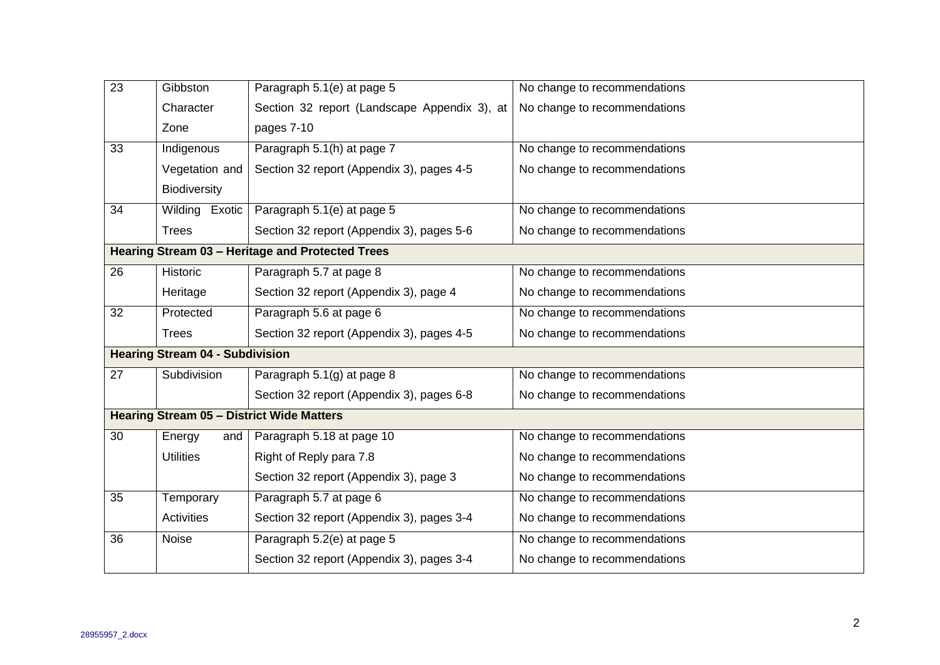| $\overline{23}$                                  | Gibbston          | Paragraph 5.1(e) at page 5                   | No change to recommendations |  |  |
|--------------------------------------------------|-------------------|----------------------------------------------|------------------------------|--|--|
|                                                  | Character         | Section 32 report (Landscape Appendix 3), at | No change to recommendations |  |  |
|                                                  | Zone              | pages 7-10                                   |                              |  |  |
| 33                                               | Indigenous        | Paragraph 5.1(h) at page 7                   | No change to recommendations |  |  |
|                                                  | Vegetation and    | Section 32 report (Appendix 3), pages 4-5    | No change to recommendations |  |  |
|                                                  | Biodiversity      |                                              |                              |  |  |
| 34                                               | Wilding Exotic    | Paragraph 5.1(e) at page 5                   | No change to recommendations |  |  |
|                                                  | <b>Trees</b>      | Section 32 report (Appendix 3), pages 5-6    | No change to recommendations |  |  |
| Hearing Stream 03 - Heritage and Protected Trees |                   |                                              |                              |  |  |
| $\overline{26}$                                  | Historic          | Paragraph 5.7 at page 8                      | No change to recommendations |  |  |
|                                                  | Heritage          | Section 32 report (Appendix 3), page 4       | No change to recommendations |  |  |
| 32                                               | Protected         | Paragraph 5.6 at page 6                      | No change to recommendations |  |  |
|                                                  | <b>Trees</b>      | Section 32 report (Appendix 3), pages 4-5    | No change to recommendations |  |  |
| <b>Hearing Stream 04 - Subdivision</b>           |                   |                                              |                              |  |  |
| $\overline{27}$                                  | Subdivision       | Paragraph 5.1(g) at page 8                   | No change to recommendations |  |  |
|                                                  |                   | Section 32 report (Appendix 3), pages 6-8    | No change to recommendations |  |  |
| Hearing Stream 05 - District Wide Matters        |                   |                                              |                              |  |  |
| 30                                               | Energy<br>and     | Paragraph 5.18 at page 10                    | No change to recommendations |  |  |
|                                                  | <b>Utilities</b>  | Right of Reply para 7.8                      | No change to recommendations |  |  |
|                                                  |                   | Section 32 report (Appendix 3), page 3       | No change to recommendations |  |  |
| 35                                               | Temporary         | Paragraph 5.7 at page 6                      | No change to recommendations |  |  |
|                                                  | <b>Activities</b> | Section 32 report (Appendix 3), pages 3-4    | No change to recommendations |  |  |
| 36                                               | Noise             | Paragraph 5.2(e) at page 5                   | No change to recommendations |  |  |
|                                                  |                   | Section 32 report (Appendix 3), pages 3-4    | No change to recommendations |  |  |